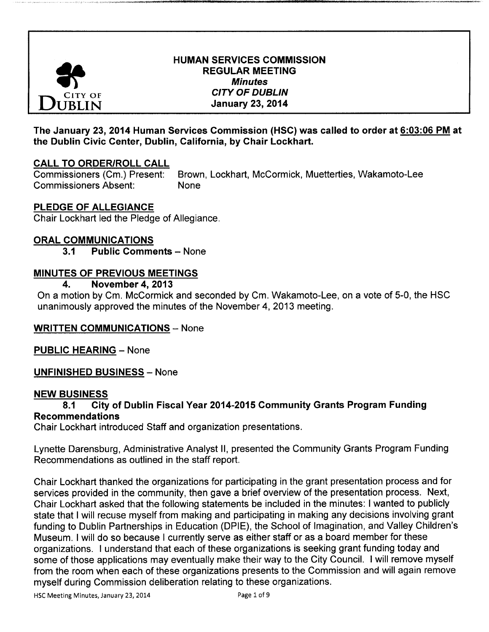

## HUMAN SERVICES COMMISSION **REGULAR MEETING Minutes** THE CITY OF DUBLIN  $\overline{B}$ IN January 23, 2014

## The January 23, 2014 Human Services Commission (HSC) was called to order at 6: 03: 06 PM at the Dublin Civic Center, Dublin, California, by Chair Lockhart.

# CALL TO ORDER/ROLL CALL

Commissioners (Cm.) Present: Brown, Lockhart, McCormick, Muetterties, Wakamoto-Lee Commissioners Absent: None

# PLEDGE OF ALLEGIANCE

Chair Lockhart led the Pledge of Allegiance.

## ORAL COMMUNICATIONS

3.1 Public Comments - None

## MINUTES OF PREVIOUS MEETINGS

### 4. November 4, 2013

On a motion by Cm. McCormick and seconded by Cm. Wakamoto-Lee, on a vote of 5-0, the HSC unanimously approved the minutes of the November 4, 2013 meeting.

## WRITTEN COMMUNICATIONS — None

PUBLIC HEARING — None

UNFINISHED BUSINESS — None

### NEW BUSINESS

## 8.1 City of Dublin Fiscal Year 2014-2015 Community Grants Program Funding Recommendations

Chair Lockhart introduced Staff and organization presentations.

Lynette Darensburg, Administrative Analyst II, presented the Community Grants Program Funding Recommendations as outlined in the staff report.

Chair Lockhart thanked the organizations for participating in the grant presentation process and for services provided in the community, then gave <sup>a</sup> brief overview of the presentation process. Next, Chair Lockhart asked that the following statements be included in the minutes: I wanted to publicly state that <sup>I</sup> will recuse myself from making and participating in making any decisions involving grant funding to Dublin Partnerships in Education (DPIE), the School of Imagination, and Valley Children's Museum. I will do so because <sup>I</sup> currently serve as either staff or as a board member for these organizations. <sup>I</sup> understand that each of these organizations is seeking grant funding today and some of those applications may eventually make their way to the City Council. I will remove myself from the room when each of these organizations presents to the Commission and will again remove myself during Commission deliberation relating to these organizations.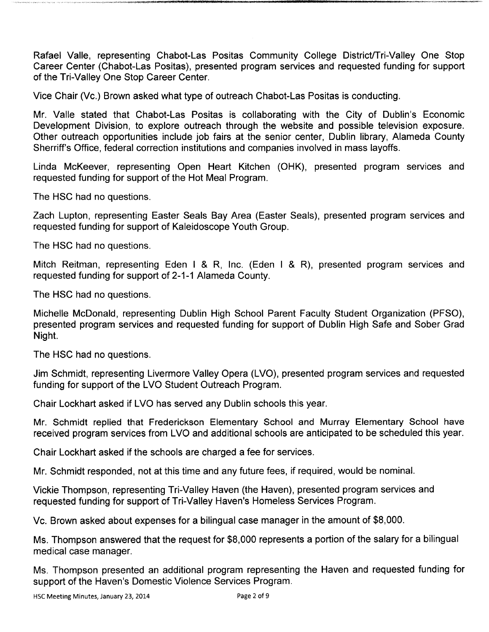Rafael Valle, representing Chabot-Las Positas Community College District/Tri-Valley One Stop Career Center (Chabot-Las Positas), presented program services and requested funding for support of the Tri-Valley One Stop Career Center.

Vice Chair (Vc.) Brown asked what type of outreach Chabot-Las Positas is conducting.

Mr. Valle stated that Chabot-Las Positas is collaborating with the City of Dublin's Economic Development Division, to explore outreach through the website and possible television exposure. Other outreach opportunities include job fairs at the senior center, Dublin library, Alameda County Sherriff's Office, federal correction institutions and companies involved in mass layoffs.

Linda McKeever, representing Open Heart Kitchen (OHK), presented program services and requested funding for support of the Hot Meal Program.

The HSC had no questions.

Zach Lupton, representing Easter Seals Bay Area ( Easter Seals), presented program services and requested funding for support of Kaleidoscope Youth Group.

The HSC had no questions.

Mitch Reitman, representing Eden I & R, Inc. (Eden I & R), presented program services and requested funding for support of 2-1-1 Alameda County.

The HSC had no questions.

Michelle McDonald, representing Dublin High School Parent Faculty Student Organization ( PFSO), presented program services and requested funding for support of Dublin High Safe and Sober Grad Night.

The HSC had no questions.

Jim Schmidt, representing Livermore Valley Opera ( LVO), presented program services and requested funding for support of the LVO Student Outreach Program.

Chair Lockhart asked if LVO has served any Dublin schools this year.

Mr. Schmidt replied that Frederickson Elementary School and Murray Elementary School have received program services from LVO and additional schools are anticipated to be scheduled this year.

Chair Lockhart asked if the schools are charged a fee for services.

Mr. Schmidt responded, not at this time and any future fees, if required, would be nominal.

Vickie Thompson, representing Tri-Valley Haven ( the Haven), presented program services and requested funding for support of Tri-Valley Haven's Homeless Services Program.

Vc. Brown asked about expenses for a bilingual case manager in the amount of \$8, 000.

Ms. Thompson answered that the request for \$8, 000 represents a portion of the salary for a bilingual medical case manager.

Ms. Thompson presented an additional program representing the Haven and requested funding for support of the Haven's Domestic Violence Services Program.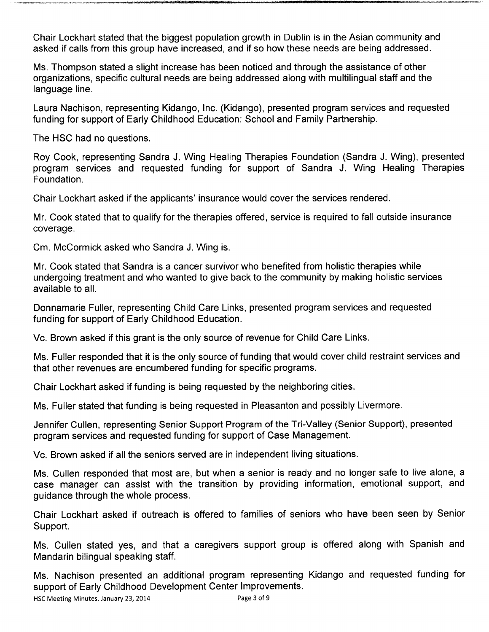Chair Lockhart stated that the biggest population growth in Dublin is in the Asian community and asked if calls from this group have increased, and if so how these needs are being addressed.

Ms. Thompson stated a slight increase has been noticed and through the assistance of other organizations, specific cultural needs are being addressed along with multilingual staff and the language line.

Laura Nachison, representing Kidango, Inc. (Kidango), presented program services and requested funding for support of Early Childhood Education: School and Family Partnership.

The HSC had no questions.

Roy Cook, representing Sandra J. Wing Healing Therapies Foundation ( Sandra J. Wing), presented program services and requested funding for support of Sandra J. Wing Healing Therapies Foundation.

Chair Lockhart asked if the applicants' insurance would cover the services rendered.

Mr. Cook stated that to qualify for the therapies offered, service is required to fall outside insurance coverage.

Cm. McCormick asked who Sandra J. Wing is.

Mr. Cook stated that Sandra is a cancer survivor who benefited from holistic therapies while undergoing treatment and who wanted to give back to the community by making holistic services available to all.

Donnamarie Fuller, representing Child Care Links, presented program services and requested funding for support of Early Childhood Education.

Vc. Brown asked if this grant is the only source of revenue for Child Care Links.

Ms. Fuller responded that it is the only source of funding that would cover child restraint services and that other revenues are encumbered funding for specific programs.

Chair Lockhart asked if funding is being requested by the neighboring cities.

Ms. Fuller stated that funding is being requested in Pleasanton and possibly Livermore.

Jennifer Cullen, representing Senior Support Program of the Tri-Valley (Senior Support), presented program services and requested funding for support of Case Management.

Vc. Brown asked if all the seniors served are in independent living situations.

Ms. Cullen responded that most are, but when a senior is ready and no longer safe to live alone, a case manager can assist with the transition by providing information, emotional support, and guidance through the whole process.

Chair Lockhart asked if outreach is offered to families of seniors who have been seen by Senior Support.

Ms. Cullen stated yes, and that a caregivers support group is offered along with Spanish and Mandarin bilingual speaking staff.

Ms. Nachison presented an additional program representing Kidango and requested funding for support of Early Childhood Development Center Improvements.<br>HSC Meeting Minutes, January 23, 2014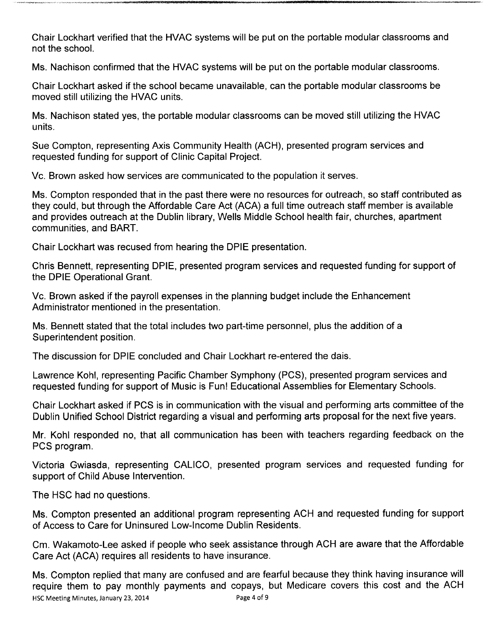Chair Lockhart verified that the HVAC systems will be put on the portable modular classrooms and not the school.

Ms. Nachison confirmed that the HVAC systems will be put on the portable modular classrooms.

Chair Lockhart asked if the school became unavailable, can the portable modular classrooms be moved still utilizing the HVAC units.

Ms. Nachison stated yes, the portable modular classrooms can be moved still utilizing the HVAC units.

Sue Compton, representing Axis Community Health (ACH), presented program services and requested funding for support of Clinic Capital Project.

Vc. Brown asked how services are communicated to the population it serves.

Ms. Compton responded that in the past there were no resources for outreach, so staff contributed as they could, but through the Affordable Care Act (ACA) a full time outreach staff member is available and provides outreach at the Dublin library, Wells Middle School health fair, churches, apartment communities, and BART.

Chair Lockhart was recused from hearing the DPIE presentation.

Chris Bennett, representing DPIE, presented program services and requested funding for support of the DPIE Operational Grant.

Vc. Brown asked if the payroll expenses in the planning budget include the Enhancement Administrator mentioned in the presentation.

Ms. Bennett stated that the total includes two part-time personnel, plus the addition of a Superintendent position.

The discussion for DPIE concluded and Chair Lockhart re-entered the dais.

Lawrence Kohl, representing Pacific Chamber Symphony (PCS), presented program services and requested funding for support of Music is Fun! Educational Assemblies for Elementary Schools.

Chair Lockhart asked if PCS is in communication with the visual and performing arts committee of the Dublin Unified School District regarding a visual and performing arts proposal for the next five years.

Mr. Kohl responded no, that all communication has been with teachers regarding feedback on the PCS program.

Victoria Gwiasda, representing CALICO, presented program services and requested funding for support of Child Abuse Intervention.

The HSC had no questions.

Ms. Compton presented an additional program representing ACH and requested funding for support of Access to Care for Uninsured Low-Income Dublin Residents.

Cm. Wakamoto- Lee asked if people who seek assistance through ACH are aware that the Affordable Care Act (ACA) requires all residents to have insurance.

Ms. Compton replied that many are confused and are fearful because they think having insurance will require them to pay monthly payments and copays, but Medicare covers this cost and the ACH<br>HSC Meeting Minutes January 23, 2014 HSC Meeting Minutes, January 23, 2014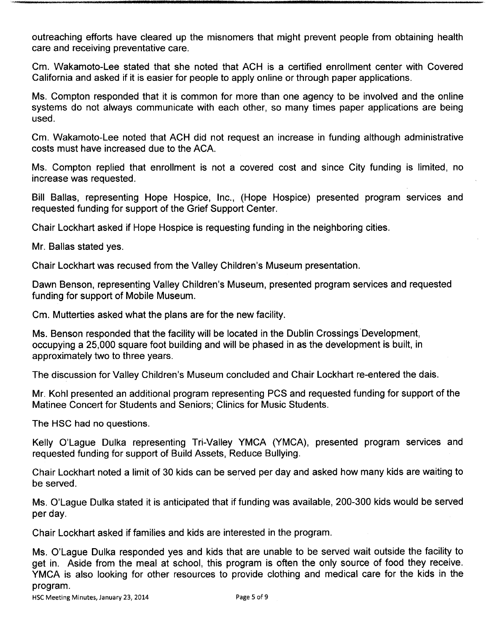outreaching efforts have cleared up the misnomers that might prevent people from obtaining health care and receiving preventative care.

Cm. Wakamoto-Lee stated that she noted that ACH is a certified enrollment center with Covered California and asked if it is easier for people to apply online or through paper applications.

Ms. Compton responded that it is common for more than one agency to be involved and the online systems do not always communicate with each other, so many times paper applications are being used.

Cm. Wakamoto-Lee noted that ACH did not request an increase in funding although administrative costs must have increased due to the ACA.

Ms. Compton replied that enrollment is not <sup>a</sup> covered cost and since City funding is limited, no increase was requested.

Bill Ballas, representing Hope Hospice, Inc., ( Hope Hospice) presented program services and requested funding for support of the Grief Support Center.

Chair Lockhart asked if Hope Hospice is requesting funding in the neighboring cities.

Mr. Ballas stated yes.

Chair Lockhart was recused from the Valley Children's Museum presentation.

Dawn Benson, representing Valley Children's Museum, presented program services and requested funding for support of Mobile Museum.

Cm. Mutterties asked what the plans are for the new facility.

Ms. Benson responded that the facility will be located in the Dublin Crossings Development, occupying a 25,000 square foot building and will be phased in as the development is built, in approximately two to three years.

The discussion for Valley Children's Museum concluded and Chair Lockhart re-entered the dais.

Mr. Kohl presented an additional program representing PCS and requested funding for support of the Matinee Concert for Students and Seniors; Clinics for Music Students.

The HSC had no questions.

Kelly O'Lague Dulka representing Tri-Valley YMCA (YMCA), presented program services and requested funding for support of Build Assets, Reduce Bullying.

Chair Lockhart noted a limit of 30 kids can be served per day and asked how many kids are waiting to be served.

Ms. O'Lague Dulka stated it is anticipated that if funding was available, 200-300 kids would be served per day.

Chair Lockhart asked if families and kids are interested in the program.

Ms. O'Lague Dulka responded yes and kids that are unable to be served wait outside the facility to get in. Aside from the meal at school, this program is often the only source of food they receive. YMCA is also looking for other resources to provide clothing and medical care for the kids in the program.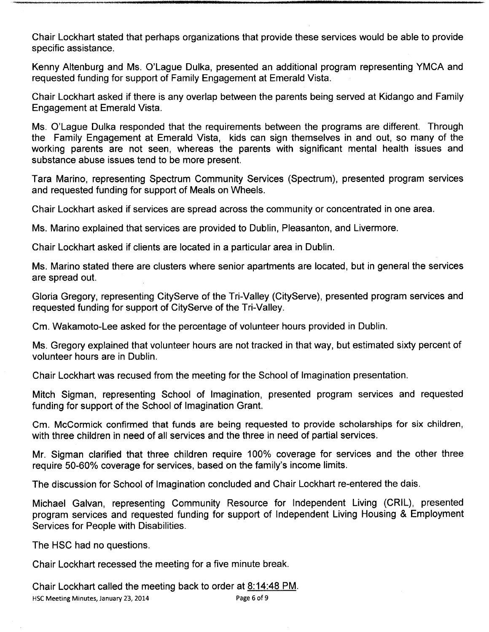Chair Lockhart stated that perhaps organizations that provide these services would be able to provide specific assistance.

Kenny Altenburg and Ms. O'Lague Dulka, presented an additional program representing YMCA and requested funding for support of Family Engagement at Emerald Vista.

Chair Lockhart asked if there is any overlap between the parents being served at Kidango and Family Engagement at Emerald Vista.

Ms. O'Lague Dulka responded that the requirements between the programs are different. Through the Family Engagement at Emerald Vista, kids can sign themselves in and out, so many of the working parents are not seen, whereas the parents with significant mental health issues and substance abuse issues tend to be more present.

Tara Marino, representing Spectrum Community Services ( Spectrum), presented program services and requested funding for support of Meals on Wheels.

Chair Lockhart asked if services are spread across the community or concentrated in one area.

Ms. Marino explained that services are provided to Dublin, Pleasanton, and Livermore.

Chair Lockhart asked if clients are located in a particular area in Dublin.

Ms. Marino stated there are clusters where senior apartments are located, but in general the services are spread out.

Gloria Gregory, representing CityServe of the Tri-Valley ( CityServe), presented program services and requested funding for support of CityServe of the Tri-Valley.

Cm. Wakamoto-Lee asked for the percentage of volunteer hours provided in Dublin.

Ms. Gregory explained that volunteer hours are not tracked in that way, but estimated sixty percent of volunteer hours are in Dublin.

Chair Lockhart was recused from the meeting for the School of Imagination presentation.

Mitch Sigman, representing School of Imagination, presented program services and requested funding for support of the School of Imagination Grant.

Cm. McCormick confirmed that funds are being requested to provide scholarships for six children, with three children in need of all services and the three in need of partial services.

Mr. Sigman clarified that three children require 100% coverage for services and the other three require 50-60% coverage for services, based on the family's income limits.

The discussion for School of Imagination concluded and Chair Lockhart re-entered the dais.

Michael Galvan, representing Community Resource for Independent Living (CRIL), presented program services and requested funding for support of Independent Living Housing & Employment Services for People with Disabilities.

The HSC had no questions.

Chair Lockhart recessed the meeting for a five minute break.

Chair Lockhart called the meeting back to order at  $\underline{8:14:48\text{ PM}}$ .<br>HSC Meeting Minutes, January 23, 2014 HSC Meeting Minutes, January 23, 2014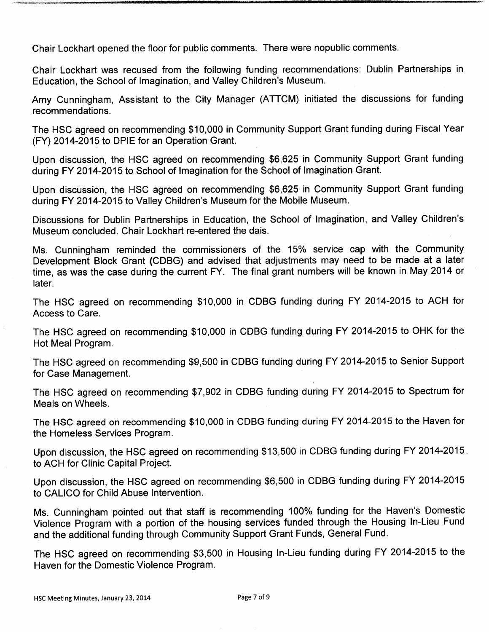Chair Lockhart opened the floor for public comments. There were nopublic comments.

Chair Lockhart was recused from the following funding recommendations: Dublin Partnerships in Education, the School of Imagination, and Valley Children's Museum.

Amy Cunningham, Assistant to the City Manager ( ATTCM) initiated the discussions for funding recommendations.

The HSC agreed on recommending \$10,000 in Community Support Grant funding during Fiscal Year FY) 2014-2015 to DPIE for an Operation Grant.

Upon discussion, the HSC agreed on recommending \$6,625 in Community Support Grant funding during FY 2014-2015 to School of Imagination for the School of Imagination Grant.

Upon discussion, the HSC agreed on recommending \$6,625 in Community Support Grant funding during FY 2014-2015 to Valley Children's Museum for the Mobile Museum.

Discussions for Dublin Partnerships in Education, the School of Imagination, and Valley Children's Museum concluded. Chair Lockhart re-entered the dais.

Ms. Cunningham reminded the commissioners of the 15% service cap with the Community Development Block Grant (CDBG) and advised that adjustments may need to be made at a later time, as was the case during the current FY. The final grant numbers will be known in May 2014 or later.

The HSC agreed on recommending \$10,000 in CDBG funding during FY 2014-2015 to ACH for Access to Care.

The HSC agreed on recommending \$10,000 in CDBG funding during FY 2014-2015 to OHK for the Hot Meal Program.

The HSC agreed on recommending \$9,500 in CDBG funding during FY 2014-2015 to Senior Support for Case Management.

The HSC agreed on recommending \$7,902 in CDBG funding during FY 2014-2015 to Spectrum for Meals on Wheels.

The HSC agreed on recommending \$10,000 in CDBG funding during FY 2014-2015 to the Haven for the Homeless Services Program.

Upon discussion, the HSC agreed on recommending \$ 13,500 in CDBG funding during FY 2014-2015. to ACH for Clinic Capital Project.

Upon discussion, the HSC agreed on recommending \$6,500 in CDBG funding during FY 2014-2015 to CALICO for Child Abuse Intervention.

Ms. Cunningham pointed out that staff is recommending 100% funding for the Haven's Domestic Violence Program with a portion of the housing services funded through the Housing In- Lieu Fund and the additional funding through Community Support Grant Funds, General Fund.

The HSC agreed on recommending \$3,500 in Housing In-Lieu funding during FY 2014-2015 to the Haven for the Domestic Violence Program.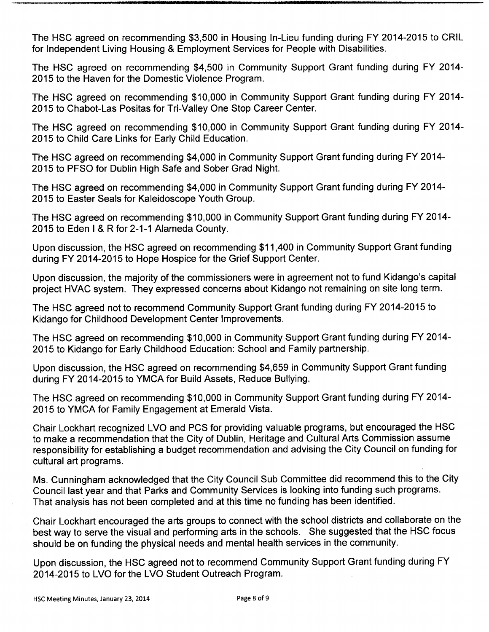The HSC agreed on recommending \$3,500 in Housing In-Lieu funding during FY 2014-2015 to CRIL for Independent Living Housing & Employment Services for People with Disabilities.

The HSC agreed on recommending \$4,500 in Community Support Grant funding during FY 2014-2015 to the Haven for the Domestic Violence Program.

The HSC agreed on recommending \$10,000 in Community Support Grant funding during FY 2014-2015 to Chabot-Las Positas for Tri-Valley One Stop Career Center.

The HSC agreed on recommending \$10,000 in Community Support Grant funding during FY 2014-2015 to Child Care Links for Early Child Education.

The HSC agreed on recommending \$4,000 in Community Support Grant funding during FY 2014- 2015 to PFSO for Dublin High Safe and Sober Grad Night.

The HSC agreed on recommending \$4,000 in Community Support Grant funding during FY 2014- 2015 to Easter Seals for Kaleidoscope Youth Group.

The HSC agreed on recommending \$ 10, 000 in Community Support Grant funding during FY 2014- 2015 to Eden I & R for 2-1-1 Alameda County.

Upon discussion, the HSC agreed on recommending \$ 11, 400 in Community Support Grant funding during FY 2014-2015 to Hope Hospice for the Grief Support Center.

Upon discussion, the majority of the commissioners were in agreement not to fund Kidango's capital project HVAC system. They expressed concerns about Kidango not remaining on site long term.

The HSC agreed not to recommend Community Support Grant funding during FY 2014-2015 to Kidango for Childhood Development Center Improvements.

The HSC agreed on recommending \$ 10, 000 in Community Support Grant funding during FY 2014- 2015 to Kidango for Early Childhood Education: School and Family partnership.

Upon discussion, the HSC agreed on recommending \$4,659 in Community Support Grant funding during FY 2014-2015 to YMCA for Build Assets, Reduce Bullying.

The HSC agreed on recommending \$10,000 in Community Support Grant funding during FY 2014-2015 to YMCA for Family Engagement at Emerald Vista.

Chair Lockhart recognized LVO and PCS for providing valuable programs, but encouraged the HSC to make a recommendation that the City of Dublin, Heritage and Cultural Arts Commission assume responsibility for establishing a budget recommendation and advising the City Council on funding for cultural art programs.

Ms. Cunningham acknowledged that the City Council Sub Committee did recommend this to the City Council last year and that Parks and Community Services is looking into funding such programs. That analysis has not been completed and at this time no funding has been identified.

Chair Lockhart encouraged the arts groups to connect with the school districts and collaborate on the best way to serve the visual and performing arts in the schools. She suggested that the HSC focus should be on funding the physical needs and mental health services in the community.

Upon discussion, the HSC agreed not to recommend Community Support Grant funding during FY 2014-2015 to LVO for the LVO Student Outreach Program.